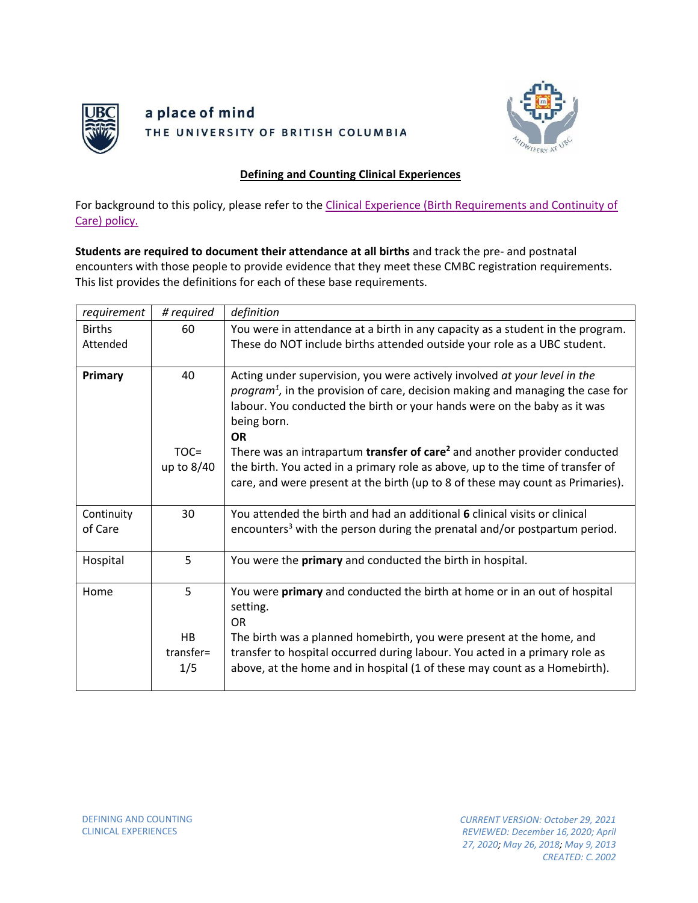

# a place of mind THE UNIVERSITY OF BRITISH COLUMBIA



# **Defining and Counting Clinical Experiences**

For background to this policy, please refer to the [Clinical Experience \(Birth Requirements and Continuity of](https://med-fom-midwifery.sites.olt.ubc.ca/files/2021/03/Clinical-Experience-Birth-Requirements-and-Continuity-of-Care.pdf) [Care\) policy.](https://med-fom-midwifery.sites.olt.ubc.ca/files/2021/03/Clinical-Experience-Birth-Requirements-and-Continuity-of-Care.pdf)

**Students are required to document their attendance at all births** and track the pre- and postnatal encounters with those people to provide evidence that they meet these CMBC registration requirements. This list provides the definitions for each of these base requirements.

| requirement               | # required                  | definition                                                                                                                                                                                                                                                                                                                             |
|---------------------------|-----------------------------|----------------------------------------------------------------------------------------------------------------------------------------------------------------------------------------------------------------------------------------------------------------------------------------------------------------------------------------|
| <b>Births</b><br>Attended | 60                          | You were in attendance at a birth in any capacity as a student in the program.<br>These do NOT include births attended outside your role as a UBC student.                                                                                                                                                                             |
|                           |                             |                                                                                                                                                                                                                                                                                                                                        |
| Primary                   | 40                          | Acting under supervision, you were actively involved at your level in the<br>$program1$ , in the provision of care, decision making and managing the case for<br>labour. You conducted the birth or your hands were on the baby as it was<br>being born.<br><b>OR</b>                                                                  |
|                           | $TOC =$<br>up to $8/40$     | There was an intrapartum transfer of care <sup>2</sup> and another provider conducted<br>the birth. You acted in a primary role as above, up to the time of transfer of<br>care, and were present at the birth (up to 8 of these may count as Primaries).                                                                              |
| Continuity<br>of Care     | 30                          | You attended the birth and had an additional 6 clinical visits or clinical<br>encounters <sup>3</sup> with the person during the prenatal and/or postpartum period.                                                                                                                                                                    |
| Hospital                  | 5                           | You were the primary and conducted the birth in hospital.                                                                                                                                                                                                                                                                              |
| Home                      | 5<br>HB<br>transfer=<br>1/5 | You were primary and conducted the birth at home or in an out of hospital<br>setting.<br><b>OR</b><br>The birth was a planned homebirth, you were present at the home, and<br>transfer to hospital occurred during labour. You acted in a primary role as<br>above, at the home and in hospital (1 of these may count as a Homebirth). |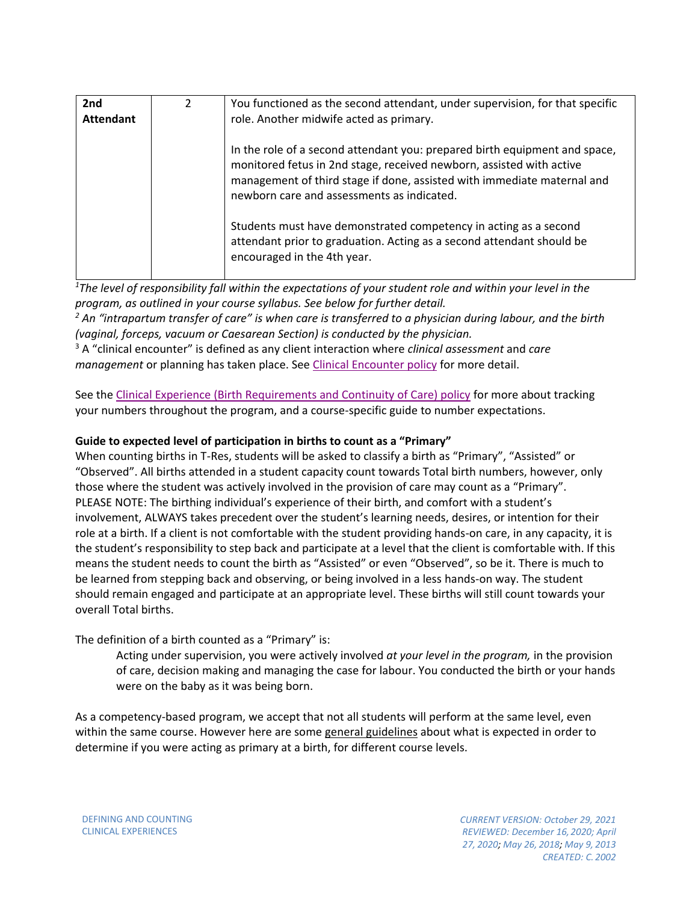| 2 <sub>nd</sub><br><b>Attendant</b> | $\mathcal{L}$ | You functioned as the second attendant, under supervision, for that specific<br>role. Another midwife acted as primary.                                                                                                                                                     |
|-------------------------------------|---------------|-----------------------------------------------------------------------------------------------------------------------------------------------------------------------------------------------------------------------------------------------------------------------------|
|                                     |               | In the role of a second attendant you: prepared birth equipment and space,<br>monitored fetus in 2nd stage, received newborn, assisted with active<br>management of third stage if done, assisted with immediate maternal and<br>newborn care and assessments as indicated. |
|                                     |               | Students must have demonstrated competency in acting as a second<br>attendant prior to graduation. Acting as a second attendant should be<br>encouraged in the 4th year.                                                                                                    |

*1 The level of responsibility fall within the expectations of your student role and within your level in the program, as outlined in your course syllabus. See below for further detail.*

*<sup>2</sup> An "intrapartum transfer of care" is when care is transferred to a physician during labour, and the birth (vaginal, forceps, vacuum or Caesarean Section) is conducted by the physician.*

<sup>3</sup> A "clinical encounter" is defined as any client interaction where *clinical assessment* and *care management* or planning has taken place. See [Clinical Encounter policy](https://med-fom-midwifery.sites.olt.ubc.ca/files/2021/03/Clinical-Encounters.pdf) for more detail.

See the [Clinical Experience \(Birth Requirements and Continuity of Care\) policy](https://med-fom-midwifery.sites.olt.ubc.ca/files/2021/03/Clinical-Experience-Birth-Requirements-and-Continuity-of-Care.pdf) for more about tracking your numbers throughout the program, and a course-specific guide to number expectations.

## **Guide to expected level of participation in births to count as a "Primary"**

When counting births in T-Res, students will be asked to classify a birth as "Primary", "Assisted" or "Observed". All births attended in a student capacity count towards Total birth numbers, however, only those where the student was actively involved in the provision of care may count as a "Primary". PLEASE NOTE: The birthing individual's experience of their birth, and comfort with a student's involvement, ALWAYS takes precedent over the student's learning needs, desires, or intention for their role at a birth. If a client is not comfortable with the student providing hands-on care, in any capacity, it is the student's responsibility to step back and participate at a level that the client is comfortable with. If this means the student needs to count the birth as "Assisted" or even "Observed", so be it. There is much to be learned from stepping back and observing, or being involved in a less hands-on way. The student should remain engaged and participate at an appropriate level. These births will still count towards your overall Total births.

The definition of a birth counted as a "Primary" is:

Acting under supervision, you were actively involved *at your level in the program,* in the provision of care, decision making and managing the case for labour. You conducted the birth or your hands were on the baby as it was being born.

As a competency-based program, we accept that not all students will perform at the same level, even within the same course. However here are some general guidelines about what is expected in order to determine if you were acting as primary at a birth, for different course levels.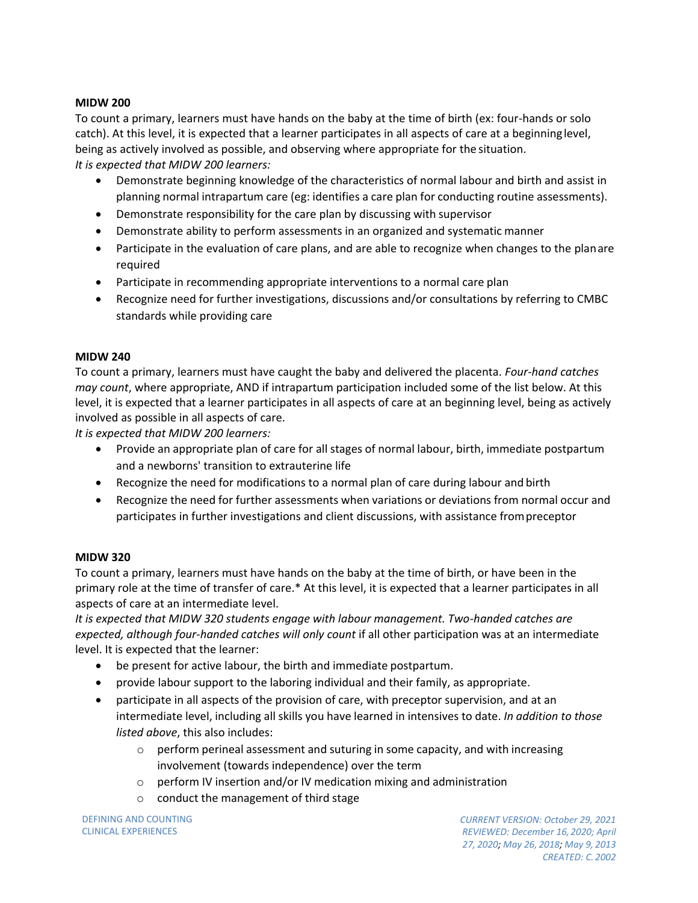## **MIDW 200**

To count a primary, learners must have hands on the baby at the time of birth (ex: four-hands or solo catch). At this level, it is expected that a learner participates in all aspects of care at a beginninglevel, being as actively involved as possible, and observing where appropriate for the situation. *It is expected that MIDW 200 learners:*

- Demonstrate beginning knowledge of the characteristics of normal labour and birth and assist in planning normal intrapartum care (eg: identifies a care plan for conducting routine assessments).
- Demonstrate responsibility for the care plan by discussing with supervisor
- Demonstrate ability to perform assessments in an organized and systematic manner
- Participate in the evaluation of care plans, and are able to recognize when changes to the planare required
- Participate in recommending appropriate interventions to a normal care plan
- Recognize need for further investigations, discussions and/or consultations by referring to CMBC standards while providing care

# **MIDW 240**

To count a primary, learners must have caught the baby and delivered the placenta. *Four-hand catches may count*, where appropriate, AND if intrapartum participation included some of the list below. At this level, it is expected that a learner participates in all aspects of care at an beginning level, being as actively involved as possible in all aspects of care.

*It is expected that MIDW 200 learners:*

- Provide an appropriate plan of care for all stages of normal labour, birth, immediate postpartum and a newborns' transition to extrauterine life
- Recognize the need for modifications to a normal plan of care during labour and birth
- Recognize the need for further assessments when variations or deviations from normal occur and participates in further investigations and client discussions, with assistance frompreceptor

#### **MIDW 320**

To count a primary, learners must have hands on the baby at the time of birth, or have been in the primary role at the time of transfer of care.\* At this level, it is expected that a learner participates in all aspects of care at an intermediate level.

*It is expected that MIDW 320 students engage with labour management. Two-handed catches are*  expected, although four-handed catches will only count if all other participation was at an intermediate level. It is expected that the learner:

- be present for active labour, the birth and immediate postpartum.
- provide labour support to the laboring individual and their family, as appropriate.
- participate in all aspects of the provision of care, with preceptor supervision, and at an intermediate level, including all skills you have learned in intensives to date. *In addition to those listed above*, this also includes:
	- $\circ$  perform perineal assessment and suturing in some capacity, and with increasing involvement (towards independence) over the term
	- o perform IV insertion and/or IV medication mixing and administration
	- o conduct the management of third stage

DEFINING AND COUNTING CLINICAL EXPERIENCES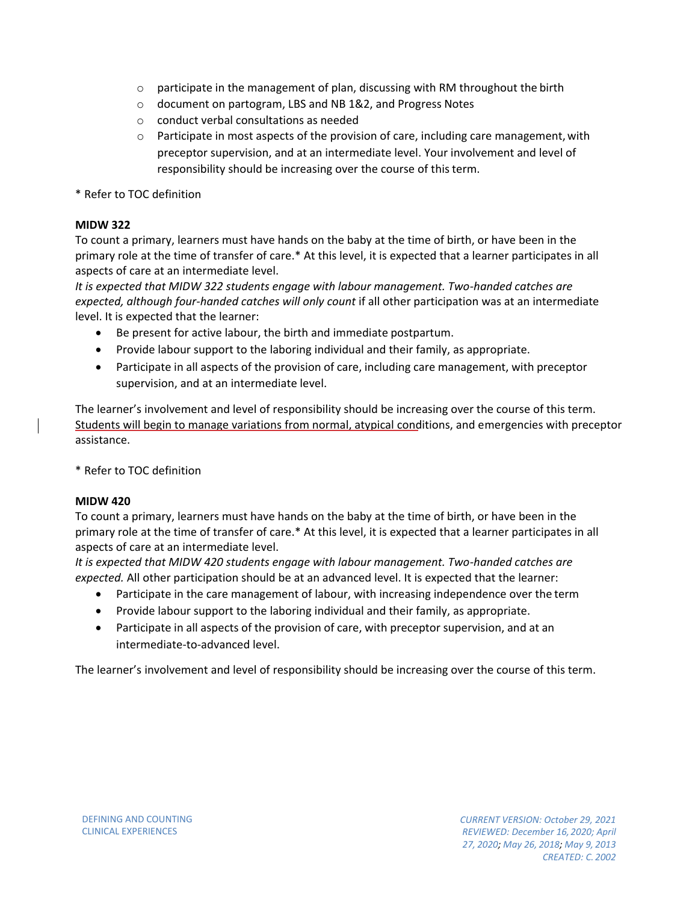- $\circ$  participate in the management of plan, discussing with RM throughout the birth
- o document on partogram, LBS and NB 1&2, and Progress Notes
- o conduct verbal consultations as needed
- $\circ$  Participate in most aspects of the provision of care, including care management, with preceptor supervision, and at an intermediate level. Your involvement and level of responsibility should be increasing over the course of this term.

\* Refer to TOC definition

## **MIDW 322**

To count a primary, learners must have hands on the baby at the time of birth, or have been in the primary role at the time of transfer of care.\* At this level, it is expected that a learner participates in all aspects of care at an intermediate level.

*It is expected that MIDW 322 students engage with labour management. Two-handed catches are*  expected, although four-handed catches will only count if all other participation was at an intermediate level. It is expected that the learner:

- Be present for active labour, the birth and immediate postpartum.
- Provide labour support to the laboring individual and their family, as appropriate.
- Participate in all aspects of the provision of care, including care management, with preceptor supervision, and at an intermediate level.

The learner's involvement and level of responsibility should be increasing over the course of this term. Students will begin to manage variations from normal, atypical conditions, and emergencies with preceptor assistance.

\* Refer to TOC definition

#### **MIDW 420**

To count a primary, learners must have hands on the baby at the time of birth, or have been in the primary role at the time of transfer of care.\* At this level, it is expected that a learner participates in all aspects of care at an intermediate level.

*It is expected that MIDW 420 students engage with labour management. Two-handed catches are expected.* All other participation should be at an advanced level. It is expected that the learner:

- Participate in the care management of labour, with increasing independence over the term
- Provide labour support to the laboring individual and their family, as appropriate.
- Participate in all aspects of the provision of care, with preceptor supervision, and at an intermediate-to-advanced level.

The learner's involvement and level of responsibility should be increasing over the course of this term.